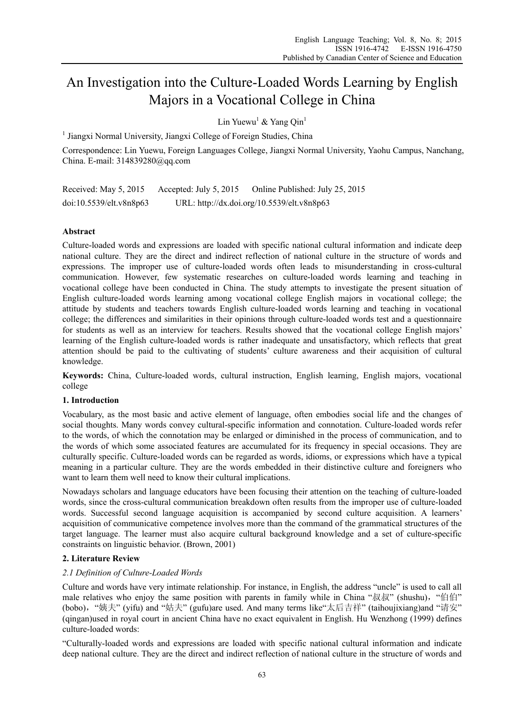# An Investigation into the Culture-Loaded Words Learning by English Majors in a Vocational College in China

Lin Yuewu<sup>1</sup> & Yang Qin<sup>1</sup>

<sup>1</sup> Jiangxi Normal University, Jiangxi College of Foreign Studies, China

Correspondence: Lin Yuewu, Foreign Languages College, Jiangxi Normal University, Yaohu Campus, Nanchang, China. E-mail: 314839280@qq.com

Received: May 5, 2015 Accepted: July 5, 2015 Online Published: July 25, 2015 doi:10.5539/elt.v8n8p63 URL: http://dx.doi.org/10.5539/elt.v8n8p63

# **Abstract**

Culture-loaded words and expressions are loaded with specific national cultural information and indicate deep national culture. They are the direct and indirect reflection of national culture in the structure of words and expressions. The improper use of culture-loaded words often leads to misunderstanding in cross-cultural communication. However, few systematic researches on culture-loaded words learning and teaching in vocational college have been conducted in China. The study attempts to investigate the present situation of English culture-loaded words learning among vocational college English majors in vocational college; the attitude by students and teachers towards English culture-loaded words learning and teaching in vocational college; the differences and similarities in their opinions through culture-loaded words test and a questionnaire for students as well as an interview for teachers. Results showed that the vocational college English majors' learning of the English culture-loaded words is rather inadequate and unsatisfactory, which reflects that great attention should be paid to the cultivating of students' culture awareness and their acquisition of cultural knowledge.

**Keywords:** China, Culture-loaded words, cultural instruction, English learning, English majors, vocational college

## **1. Introduction**

Vocabulary, as the most basic and active element of language, often embodies social life and the changes of social thoughts. Many words convey cultural-specific information and connotation. Culture-loaded words refer to the words, of which the connotation may be enlarged or diminished in the process of communication, and to the words of which some associated features are accumulated for its frequency in special occasions. They are culturally specific. Culture-loaded words can be regarded as words, idioms, or expressions which have a typical meaning in a particular culture. They are the words embedded in their distinctive culture and foreigners who want to learn them well need to know their cultural implications.

Nowadays scholars and language educators have been focusing their attention on the teaching of culture-loaded words, since the cross-cultural communication breakdown often results from the improper use of culture-loaded words. Successful second language acquisition is accompanied by second culture acquisition. A learners' acquisition of communicative competence involves more than the command of the grammatical structures of the target language. The learner must also acquire cultural background knowledge and a set of culture-specific constraints on linguistic behavior. (Brown, 2001)

# **2. Literature Review**

# *2.1 Definition of Culture-Loaded Words*

Culture and words have very intimate relationship. For instance, in English, the address "uncle" is used to call all male relatives who enjoy the same position with parents in family while in China " $\mathbb{R}\mathbb{R}$ " (shushu), " $\mathbb{H}$ " (bobo), "姨夫" (yifu) and "姑夫" (gufu)are used. And many terms like "太后吉祥" (taihoujixiang)and "请安" (qingan)used in royal court in ancient China have no exact equivalent in English. Hu Wenzhong (1999) defines culture-loaded words:

"Culturally-loaded words and expressions are loaded with specific national cultural information and indicate deep national culture. They are the direct and indirect reflection of national culture in the structure of words and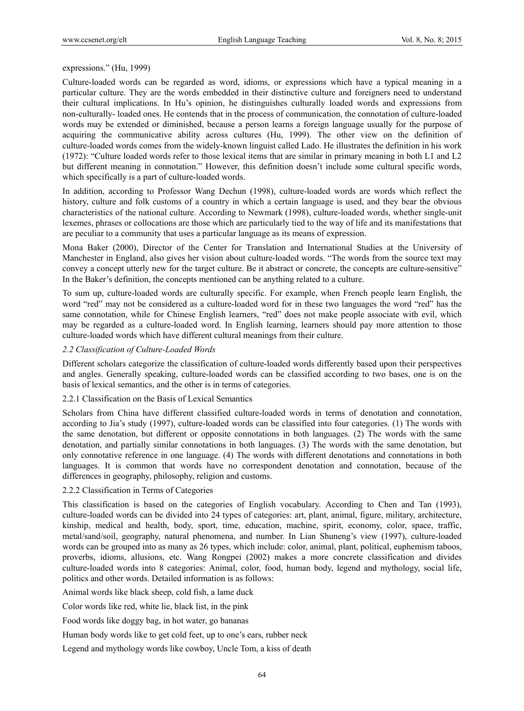expressions." (Hu, 1999)

Culture-loaded words can be regarded as word, idioms, or expressions which have a typical meaning in a particular culture. They are the words embedded in their distinctive culture and foreigners need to understand their cultural implications. In Hu's opinion, he distinguishes culturally loaded words and expressions from non-culturally- loaded ones. He contends that in the process of communication, the connotation of culture-loaded words may be extended or diminished, because a person learns a foreign language usually for the purpose of acquiring the communicative ability across cultures (Hu, 1999). The other view on the definition of culture-loaded words comes from the widely-known linguist called Lado. He illustrates the definition in his work (1972): "Culture loaded words refer to those lexical items that are similar in primary meaning in both L1 and L2 but different meaning in connotation." However, this definition doesn't include some cultural specific words, which specifically is a part of culture-loaded words.

In addition, according to Professor Wang Dechun (1998), culture-loaded words are words which reflect the history, culture and folk customs of a country in which a certain language is used, and they bear the obvious characteristics of the national culture. According to Newmark (1998), culture-loaded words, whether single-unit lexemes, phrases or collocations are those which are particularly tied to the way of life and its manifestations that are peculiar to a community that uses a particular language as its means of expression.

Mona Baker (2000), Director of the Center for Translation and International Studies at the University of Manchester in England, also gives her vision about culture-loaded words. "The words from the source text may convey a concept utterly new for the target culture. Be it abstract or concrete, the concepts are culture-sensitive" In the Baker's definition, the concepts mentioned can be anything related to a culture.

To sum up, culture-loaded words are culturally specific. For example, when French people learn English, the word "red" may not be considered as a culture-loaded word for in these two languages the word "red" has the same connotation, while for Chinese English learners, "red" does not make people associate with evil, which may be regarded as a culture-loaded word. In English learning, learners should pay more attention to those culture-loaded words which have different cultural meanings from their culture.

## *2.2 Classification of Culture-Loaded Words*

Different scholars categorize the classification of culture-loaded words differently based upon their perspectives and angles. Generally speaking, culture-loaded words can be classified according to two bases, one is on the basis of lexical semantics, and the other is in terms of categories.

## 2.2.1 Classification on the Basis of Lexical Semantics

Scholars from China have different classified culture-loaded words in terms of denotation and connotation, according to Jia's study (1997), culture-loaded words can be classified into four categories. (1) The words with the same denotation, but different or opposite connotations in both languages. (2) The words with the same denotation, and partially similar connotations in both languages. (3) The words with the same denotation, but only connotative reference in one language. (4) The words with different denotations and connotations in both languages. It is common that words have no correspondent denotation and connotation, because of the differences in geography, philosophy, religion and customs.

#### 2.2.2 Classification in Terms of Categories

This classification is based on the categories of English vocabulary. According to Chen and Tan (1993), culture-loaded words can be divided into 24 types of categories: art, plant, animal, figure, military, architecture, kinship, medical and health, body, sport, time, education, machine, spirit, economy, color, space, traffic, metal/sand/soil, geography, natural phenomena, and number. In Lian Shuneng's view (1997), culture-loaded words can be grouped into as many as 26 types, which include: color, animal, plant, political, euphemism taboos, proverbs, idioms, allusions, etc. Wang Rongpei (2002) makes a more concrete classification and divides culture-loaded words into 8 categories: Animal, color, food, human body, legend and mythology, social life, politics and other words. Detailed information is as follows:

Animal words like black sheep, cold fish, a lame duck

Color words like red, white lie, black list, in the pink

Food words like doggy bag, in hot water, go bananas

Human body words like to get cold feet, up to one's ears, rubber neck

Legend and mythology words like cowboy, Uncle Tom, a kiss of death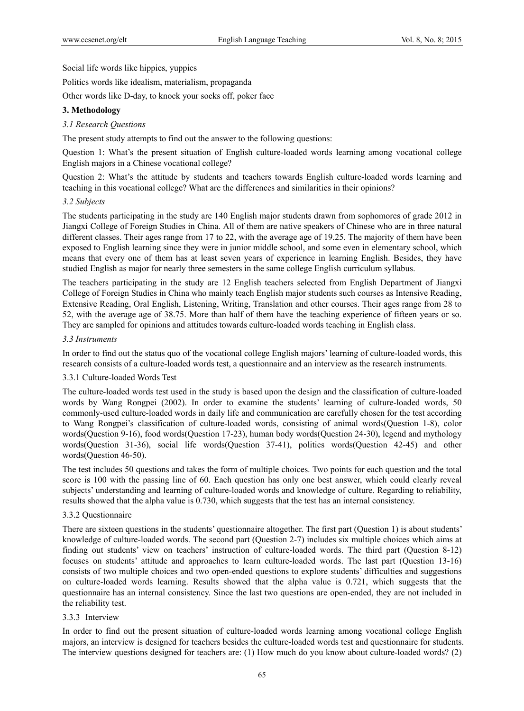Social life words like hippies, yuppies

Politics words like idealism, materialism, propaganda

Other words like D-day, to knock your socks off, poker face

## **3. Methodology**

## *3.1 Research Questions*

The present study attempts to find out the answer to the following questions:

Question 1: What's the present situation of English culture-loaded words learning among vocational college English majors in a Chinese vocational college?

Question 2: What's the attitude by students and teachers towards English culture-loaded words learning and teaching in this vocational college? What are the differences and similarities in their opinions?

## *3.2 Subjects*

The students participating in the study are 140 English major students drawn from sophomores of grade 2012 in Jiangxi College of Foreign Studies in China. All of them are native speakers of Chinese who are in three natural different classes. Their ages range from 17 to 22, with the average age of 19.25. The majority of them have been exposed to English learning since they were in junior middle school, and some even in elementary school, which means that every one of them has at least seven years of experience in learning English. Besides, they have studied English as major for nearly three semesters in the same college English curriculum syllabus.

The teachers participating in the study are 12 English teachers selected from English Department of Jiangxi College of Foreign Studies in China who mainly teach English major students such courses as Intensive Reading, Extensive Reading, Oral English, Listening, Writing, Translation and other courses. Their ages range from 28 to 52, with the average age of 38.75. More than half of them have the teaching experience of fifteen years or so. They are sampled for opinions and attitudes towards culture-loaded words teaching in English class.

## *3.3 Instruments*

In order to find out the status quo of the vocational college English majors' learning of culture-loaded words, this research consists of a culture-loaded words test, a questionnaire and an interview as the research instruments.

#### 3.3.1 Culture-loaded Words Test

The culture-loaded words test used in the study is based upon the design and the classification of culture-loaded words by Wang Rongpei (2002). In order to examine the students' learning of culture-loaded words, 50 commonly-used culture-loaded words in daily life and communication are carefully chosen for the test according to Wang Rongpei's classification of culture-loaded words, consisting of animal words(Question 1-8), color words(Question 9-16), food words(Question 17-23), human body words(Question 24-30), legend and mythology words(Question 31-36), social life words(Question 37-41), politics words(Question 42-45) and other words(Question 46-50).

The test includes 50 questions and takes the form of multiple choices. Two points for each question and the total score is 100 with the passing line of 60. Each question has only one best answer, which could clearly reveal subjects' understanding and learning of culture-loaded words and knowledge of culture. Regarding to reliability, results showed that the alpha value is 0.730, which suggests that the test has an internal consistency.

#### 3.3.2 Questionnaire

There are sixteen questions in the students' questionnaire altogether. The first part (Question 1) is about students' knowledge of culture-loaded words. The second part (Question 2-7) includes six multiple choices which aims at finding out students' view on teachers' instruction of culture-loaded words. The third part (Question 8-12) focuses on students' attitude and approaches to learn culture-loaded words. The last part (Question 13-16) consists of two multiple choices and two open-ended questions to explore students' difficulties and suggestions on culture-loaded words learning. Results showed that the alpha value is 0.721, which suggests that the questionnaire has an internal consistency. Since the last two questions are open-ended, they are not included in the reliability test.

#### 3.3.3 Interview

In order to find out the present situation of culture-loaded words learning among vocational college English majors, an interview is designed for teachers besides the culture-loaded words test and questionnaire for students. The interview questions designed for teachers are: (1) How much do you know about culture-loaded words? (2)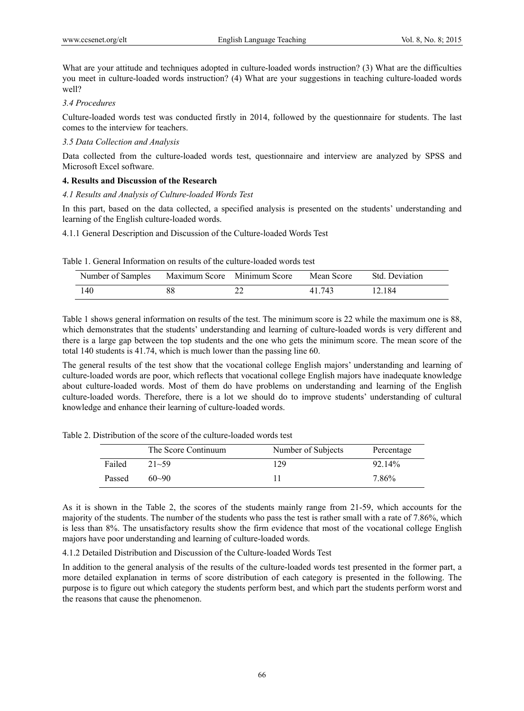What are your attitude and techniques adopted in culture-loaded words instruction? (3) What are the difficulties you meet in culture-loaded words instruction? (4) What are your suggestions in teaching culture-loaded words well?

# *3.4 Procedures*

Culture-loaded words test was conducted firstly in 2014, followed by the questionnaire for students. The last comes to the interview for teachers.

## *3.5 Data Collection and Analysis*

Data collected from the culture-loaded words test, questionnaire and interview are analyzed by SPSS and Microsoft Excel software.

# **4. Results and Discussion of the Research**

## *4.1 Results and Analysis of Culture-loaded Words Test*

In this part, based on the data collected, a specified analysis is presented on the students' understanding and learning of the English culture-loaded words.

4.1.1 General Description and Discussion of the Culture-loaded Words Test

Table 1. General Information on results of the culture-loaded words test

| Number of Samples | Maximum Score Minimum Score | Mean Score | Std. Deviation |
|-------------------|-----------------------------|------------|----------------|
| 140               | 88                          | 41 743     | 12.184         |

Table 1 shows general information on results of the test. The minimum score is 22 while the maximum one is 88, which demonstrates that the students' understanding and learning of culture-loaded words is very different and there is a large gap between the top students and the one who gets the minimum score. The mean score of the total 140 students is 41.74, which is much lower than the passing line 60.

The general results of the test show that the vocational college English majors' understanding and learning of culture-loaded words are poor, which reflects that vocational college English majors have inadequate knowledge about culture-loaded words. Most of them do have problems on understanding and learning of the English culture-loaded words. Therefore, there is a lot we should do to improve students' understanding of cultural knowledge and enhance their learning of culture-loaded words.

Table 2. Distribution of the score of the culture-loaded words test

|        | The Score Continuum | Number of Subjects | Percentage |
|--------|---------------------|--------------------|------------|
| Failed | $21 - 59$           | 129                | $92.14\%$  |
| Passed | $60 - 90$           |                    | 7.86%      |

As it is shown in the Table 2, the scores of the students mainly range from 21-59, which accounts for the majority of the students. The number of the students who pass the test is rather small with a rate of 7.86%, which is less than 8%. The unsatisfactory results show the firm evidence that most of the vocational college English majors have poor understanding and learning of culture-loaded words.

4.1.2 Detailed Distribution and Discussion of the Culture-loaded Words Test

In addition to the general analysis of the results of the culture-loaded words test presented in the former part, a more detailed explanation in terms of score distribution of each category is presented in the following. The purpose is to figure out which category the students perform best, and which part the students perform worst and the reasons that cause the phenomenon.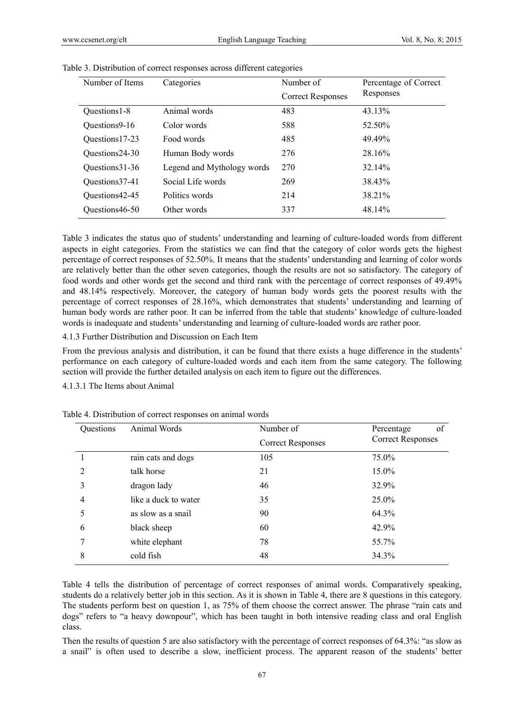| Number of Items | Categories                 | Number of                | Percentage of Correct |
|-----------------|----------------------------|--------------------------|-----------------------|
|                 |                            | <b>Correct Responses</b> | Responses             |
| Questions1-8    | Animal words               | 483                      | 43.13%                |
| Questions9-16   | Color words                | 588                      | 52.50%                |
| Questions17-23  | Food words                 | 485                      | 49.49%                |
| Questions24-30  | Human Body words           | 276                      | 28.16%                |
| Questions31-36  | Legend and Mythology words | 270                      | 32.14%                |
| Questions37-41  | Social Life words          | 269                      | 38.43%                |
| Questions42-45  | Politics words             | 214                      | 38.21%                |
| Questions46-50  | Other words                | 337                      | 48.14%                |

Table 3. Distribution of correct responses across different categories

Table 3 indicates the status quo of students' understanding and learning of culture-loaded words from different aspects in eight categories. From the statistics we can find that the category of color words gets the highest percentage of correct responses of 52.50%. It means that the students' understanding and learning of color words are relatively better than the other seven categories, though the results are not so satisfactory. The category of food words and other words get the second and third rank with the percentage of correct responses of 49.49% and 48.14% respectively. Moreover, the category of human body words gets the poorest results with the percentage of correct responses of 28.16%, which demonstrates that students' understanding and learning of human body words are rather poor. It can be inferred from the table that students' knowledge of culture-loaded words is inadequate and students' understanding and learning of culture-loaded words are rather poor.

## 4.1.3 Further Distribution and Discussion on Each Item

From the previous analysis and distribution, it can be found that there exists a huge difference in the students' performance on each category of culture-loaded words and each item from the same category. The following section will provide the further detailed analysis on each item to figure out the differences.

## 4.1.3.1 The Items about Animal

| Questions      | Animal Words         | Number of                | of<br>Percentage         |  |
|----------------|----------------------|--------------------------|--------------------------|--|
|                |                      | <b>Correct Responses</b> | <b>Correct Responses</b> |  |
|                | rain cats and dogs   | 105                      | 75.0%                    |  |
| $\overline{2}$ | talk horse           | 21                       | $15.0\%$                 |  |
| 3              | dragon lady          | 46                       | 32.9%                    |  |
| 4              | like a duck to water | 35                       | 25.0%                    |  |
| 5              | as slow as a snail   | 90                       | 64.3%                    |  |
| 6              | black sheep          | 60                       | 42.9%                    |  |
|                | white elephant       | 78                       | 55.7%                    |  |
| 8              | cold fish            | 48                       | 34.3%                    |  |
|                |                      |                          |                          |  |

Table 4. Distribution of correct responses on animal words

Table 4 tells the distribution of percentage of correct responses of animal words. Comparatively speaking, students do a relatively better job in this section. As it is shown in Table 4, there are 8 questions in this category. The students perform best on question 1, as 75% of them choose the correct answer. The phrase "rain cats and dogs" refers to "a heavy downpour", which has been taught in both intensive reading class and oral English class.

Then the results of question 5 are also satisfactory with the percentage of correct responses of 64.3%: "as slow as a snail" is often used to describe a slow, inefficient process. The apparent reason of the students' better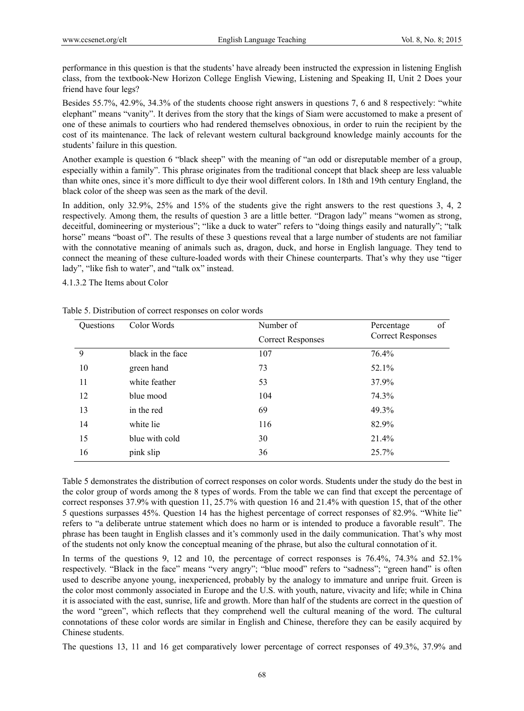performance in this question is that the students' have already been instructed the expression in listening English class, from the textbook-New Horizon College English Viewing, Listening and Speaking II, Unit 2 Does your friend have four legs?

Besides 55.7%, 42.9%, 34.3% of the students choose right answers in questions 7, 6 and 8 respectively: "white elephant" means "vanity". It derives from the story that the kings of Siam were accustomed to make a present of one of these animals to courtiers who had rendered themselves obnoxious, in order to ruin the recipient by the cost of its maintenance. The lack of relevant western cultural background knowledge mainly accounts for the students' failure in this question.

Another example is question 6 "black sheep" with the meaning of "an odd or disreputable member of a group, especially within a family". This phrase originates from the traditional concept that black sheep are less valuable than white ones, since it's more difficult to dye their wool different colors. In 18th and 19th century England, the black color of the sheep was seen as the mark of the devil.

In addition, only 32.9%, 25% and 15% of the students give the right answers to the rest questions 3, 4, 2 respectively. Among them, the results of question 3 are a little better. "Dragon lady" means "women as strong, deceitful, domineering or mysterious"; "like a duck to water" refers to "doing things easily and naturally"; "talk horse" means "boast of". The results of these 3 questions reveal that a large number of students are not familiar with the connotative meaning of animals such as, dragon, duck, and horse in English language. They tend to connect the meaning of these culture-loaded words with their Chinese counterparts. That's why they use "tiger lady", "like fish to water", and "talk ox" instead.

4.1.3.2 The Items about Color

| <b>Ouestions</b> | Color Words       | Number of                | of<br>Percentage         |
|------------------|-------------------|--------------------------|--------------------------|
|                  |                   | <b>Correct Responses</b> | <b>Correct Responses</b> |
| 9                | black in the face | 107                      | 76.4%                    |
| 10               | green hand        | 73                       | 52.1%                    |
| 11               | white feather     | 53                       | 37.9%                    |
| 12               | blue mood         | 104                      | 74.3%                    |
| 13               | in the red        | 69                       | 49.3%                    |
| 14               | white lie         | 116                      | 82.9%                    |
| 15               | blue with cold    | 30                       | 21.4%                    |
| 16               | pink slip         | 36                       | 25.7%                    |

Table 5. Distribution of correct responses on color words

Table 5 demonstrates the distribution of correct responses on color words. Students under the study do the best in the color group of words among the 8 types of words. From the table we can find that except the percentage of correct responses 37.9% with question 11, 25.7% with question 16 and 21.4% with question 15, that of the other 5 questions surpasses 45%. Question 14 has the highest percentage of correct responses of 82.9%. "White lie" refers to "a deliberate untrue statement which does no harm or is intended to produce a favorable result". The phrase has been taught in English classes and it's commonly used in the daily communication. That's why most of the students not only know the conceptual meaning of the phrase, but also the cultural connotation of it.

In terms of the questions 9, 12 and 10, the percentage of correct responses is 76.4%, 74.3% and 52.1% respectively. "Black in the face" means "very angry"; "blue mood" refers to "sadness"; "green hand" is often used to describe anyone young, inexperienced, probably by the analogy to immature and unripe fruit. Green is the color most commonly associated in Europe and the U.S. with youth, nature, vivacity and life; while in China it is associated with the east, sunrise, life and growth. More than half of the students are correct in the question of the word "green", which reflects that they comprehend well the cultural meaning of the word. The cultural connotations of these color words are similar in English and Chinese, therefore they can be easily acquired by Chinese students.

The questions 13, 11 and 16 get comparatively lower percentage of correct responses of 49.3%, 37.9% and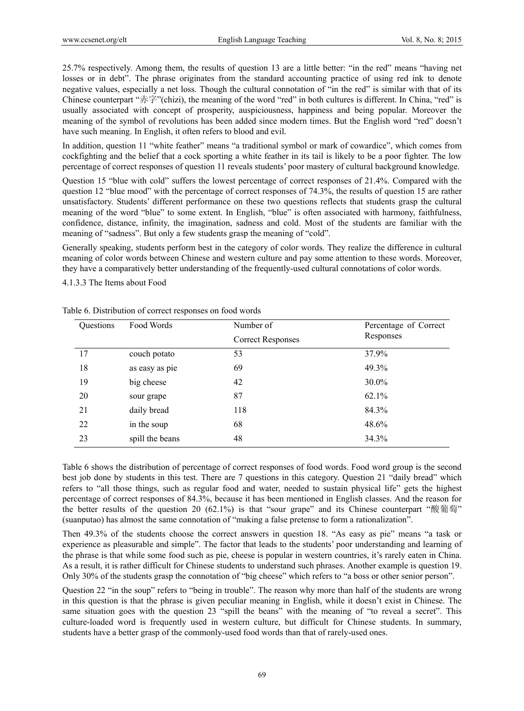25.7% respectively. Among them, the results of question 13 are a little better: "in the red" means "having net losses or in debt". The phrase originates from the standard accounting practice of using red ink to denote negative values, especially a net loss. Though the cultural connotation of "in the red" is similar with that of its Chinese counterpart "赤字"(chizi), the meaning of the word "red" in both cultures is different. In China, "red" is usually associated with concept of prosperity, auspiciousness, happiness and being popular. Moreover the meaning of the symbol of revolutions has been added since modern times. But the English word "red" doesn't have such meaning. In English, it often refers to blood and evil.

In addition, question 11 "white feather" means "a traditional symbol or mark of cowardice", which comes from cockfighting and the belief that a cock sporting a white feather in its tail is likely to be a poor fighter. The low percentage of correct responses of question 11 reveals students' poor mastery of cultural background knowledge.

Question 15 "blue with cold" suffers the lowest percentage of correct responses of 21.4%. Compared with the question 12 "blue mood" with the percentage of correct responses of 74.3%, the results of question 15 are rather unsatisfactory. Students' different performance on these two questions reflects that students grasp the cultural meaning of the word "blue" to some extent. In English, "blue" is often associated with harmony, faithfulness, confidence, distance, infinity, the imagination, sadness and cold. Most of the students are familiar with the meaning of "sadness". But only a few students grasp the meaning of "cold".

Generally speaking, students perform best in the category of color words. They realize the difference in cultural meaning of color words between Chinese and western culture and pay some attention to these words. Moreover, they have a comparatively better understanding of the frequently-used cultural connotations of color words.

4.1.3.3 The Items about Food

| Questions | Food Words      | Number of                | Percentage of Correct |
|-----------|-----------------|--------------------------|-----------------------|
|           |                 | <b>Correct Responses</b> | Responses             |
| 17        | couch potato    | 53                       | 37.9%                 |
| 18        | as easy as pie  | 69                       | 49.3%                 |
| 19        | big cheese      | 42                       | 30.0%                 |
| 20        | sour grape      | 87                       | 62.1%                 |
| 21        | daily bread     | 118                      | 84.3%                 |
| 22        | in the soup     | 68                       | 48.6%                 |
| 23        | spill the beans | 48                       | 34.3%                 |

Table 6. Distribution of correct responses on food words

Table 6 shows the distribution of percentage of correct responses of food words. Food word group is the second best job done by students in this test. There are 7 questions in this category. Question 21 "daily bread" which refers to "all those things, such as regular food and water, needed to sustain physical life" gets the highest percentage of correct responses of 84.3%, because it has been mentioned in English classes. And the reason for the better results of the question 20 (62.1%) is that "sour grape" and its Chinese counterpart "酸葡萄" (suanputao) has almost the same connotation of "making a false pretense to form a rationalization".

Then 49.3% of the students choose the correct answers in question 18. "As easy as pie" means "a task or experience as pleasurable and simple". The factor that leads to the students' poor understanding and learning of the phrase is that while some food such as pie, cheese is popular in western countries, it's rarely eaten in China. As a result, it is rather difficult for Chinese students to understand such phrases. Another example is question 19. Only 30% of the students grasp the connotation of "big cheese" which refers to "a boss or other senior person".

Question 22 "in the soup" refers to "being in trouble". The reason why more than half of the students are wrong in this question is that the phrase is given peculiar meaning in English, while it doesn't exist in Chinese. The same situation goes with the question 23 "spill the beans" with the meaning of "to reveal a secret". This culture-loaded word is frequently used in western culture, but difficult for Chinese students. In summary, students have a better grasp of the commonly-used food words than that of rarely-used ones.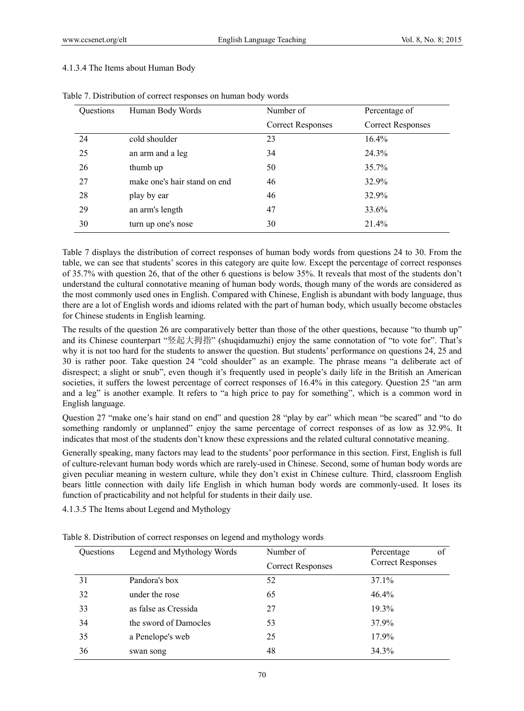## 4.1.3.4 The Items about Human Body

| <b>Ouestions</b> | Human Body Words             | Number of         | Percentage of            |
|------------------|------------------------------|-------------------|--------------------------|
|                  |                              | Correct Responses | <b>Correct Responses</b> |
| 24               | cold shoulder                | 23                | 16.4%                    |
| 25               | an arm and a leg             | 34                | 24.3%                    |
| 26               | thumb up                     | 50                | 35.7%                    |
| 27               | make one's hair stand on end | 46                | 32.9%                    |
| 28               | play by ear                  | 46                | 32.9%                    |
| 29               | an arm's length              | 47                | 33.6%                    |
| 30               | turn up one's nose           | 30                | 21.4%                    |

Table 7. Distribution of correct responses on human body words

Table 7 displays the distribution of correct responses of human body words from questions 24 to 30. From the table, we can see that students' scores in this category are quite low. Except the percentage of correct responses of 35.7% with question 26, that of the other 6 questions is below 35%. It reveals that most of the students don't understand the cultural connotative meaning of human body words, though many of the words are considered as the most commonly used ones in English. Compared with Chinese, English is abundant with body language, thus there are a lot of English words and idioms related with the part of human body, which usually become obstacles for Chinese students in English learning.

The results of the question 26 are comparatively better than those of the other questions, because "to thumb up" and its Chinese counterpart "竖起大拇指" (shuqidamuzhi) enjoy the same connotation of "to vote for". That's why it is not too hard for the students to answer the question. But students' performance on questions 24, 25 and 30 is rather poor. Take question 24 "cold shoulder" as an example. The phrase means "a deliberate act of disrespect; a slight or snub", even though it's frequently used in people's daily life in the British an American societies, it suffers the lowest percentage of correct responses of 16.4% in this category. Question 25 "an arm and a leg" is another example. It refers to "a high price to pay for something", which is a common word in English language.

Question 27 "make one's hair stand on end" and question 28 "play by ear" which mean "be scared" and "to do something randomly or unplanned" enjoy the same percentage of correct responses of as low as 32.9%. It indicates that most of the students don't know these expressions and the related cultural connotative meaning.

Generally speaking, many factors may lead to the students' poor performance in this section. First, English is full of culture-relevant human body words which are rarely-used in Chinese. Second, some of human body words are given peculiar meaning in western culture, while they don't exist in Chinese culture. Third, classroom English bears little connection with daily life English in which human body words are commonly-used. It loses its function of practicability and not helpful for students in their daily use.

4.1.3.5 The Items about Legend and Mythology

| <b>Ouestions</b> | Legend and Mythology Words | Number of                | of<br>Percentage         |
|------------------|----------------------------|--------------------------|--------------------------|
|                  |                            | <b>Correct Responses</b> | <b>Correct Responses</b> |
| 31               | Pandora's box              | 52                       | $37.1\%$                 |
| 32               | under the rose             | 65                       | 46.4%                    |
| 33               | as false as Cressida       | 27                       | 19.3%                    |
| 34               | the sword of Damocles      | 53                       | 37.9%                    |
| 35               | a Penelope's web           | 25                       | 17.9%                    |
| 36               | swan song                  | 48                       | 34.3%                    |
|                  |                            |                          |                          |

| Table 8. Distribution of correct responses on legend and mythology words |  |  |  |
|--------------------------------------------------------------------------|--|--|--|
|                                                                          |  |  |  |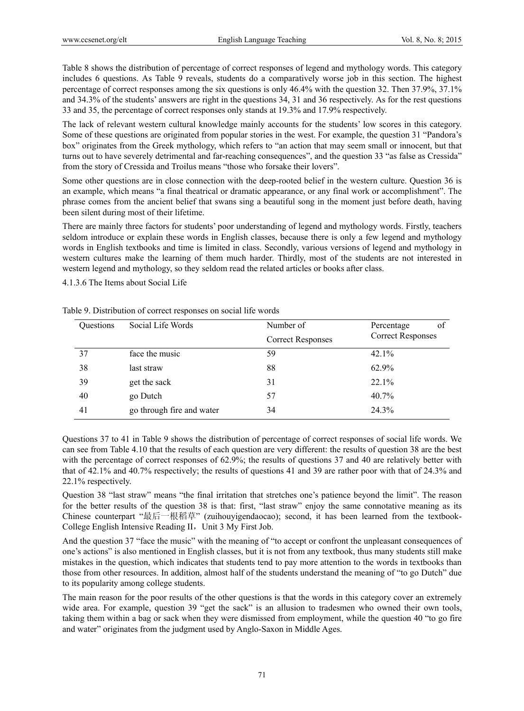Table 8 shows the distribution of percentage of correct responses of legend and mythology words. This category includes 6 questions. As Table 9 reveals, students do a comparatively worse job in this section. The highest percentage of correct responses among the six questions is only 46.4% with the question 32. Then 37.9%, 37.1% and 34.3% of the students' answers are right in the questions 34, 31 and 36 respectively. As for the rest questions 33 and 35, the percentage of correct responses only stands at 19.3% and 17.9% respectively.

The lack of relevant western cultural knowledge mainly accounts for the students' low scores in this category. Some of these questions are originated from popular stories in the west. For example, the question 31 "Pandora's box" originates from the Greek mythology, which refers to "an action that may seem small or innocent, but that turns out to have severely detrimental and far-reaching consequences", and the question 33 "as false as Cressida" from the story of Cressida and Troilus means "those who forsake their lovers".

Some other questions are in close connection with the deep-rooted belief in the western culture. Question 36 is an example, which means "a final theatrical or dramatic appearance, or any final work or accomplishment". The phrase comes from the ancient belief that swans sing a beautiful song in the moment just before death, having been silent during most of their lifetime.

There are mainly three factors for students' poor understanding of legend and mythology words. Firstly, teachers seldom introduce or explain these words in English classes, because there is only a few legend and mythology words in English textbooks and time is limited in class. Secondly, various versions of legend and mythology in western cultures make the learning of them much harder. Thirdly, most of the students are not interested in western legend and mythology, so they seldom read the related articles or books after class.

4.1.3.6 The Items about Social Life

| Questions | Social Life Words         | Number of                | of<br>Percentage         |
|-----------|---------------------------|--------------------------|--------------------------|
|           |                           | <b>Correct Responses</b> | <b>Correct Responses</b> |
| 37        | face the music            | 59                       | 42.1%                    |
| 38        | last straw                | 88                       | 62.9%                    |
| 39        | get the sack              | 31                       | 22.1%                    |
| 40        | go Dutch                  | 57                       | 40.7%                    |
| 41        | go through fire and water | 34                       | 24.3%                    |

Table 9. Distribution of correct responses on social life words

Questions 37 to 41 in Table 9 shows the distribution of percentage of correct responses of social life words. We can see from Table 4.10 that the results of each question are very different: the results of question 38 are the best with the percentage of correct responses of 62.9%; the results of questions 37 and 40 are relatively better with that of 42.1% and 40.7% respectively; the results of questions 41 and 39 are rather poor with that of 24.3% and 22.1% respectively.

Question 38 "last straw" means "the final irritation that stretches one's patience beyond the limit". The reason for the better results of the question 38 is that: first, "last straw" enjoy the same connotative meaning as its Chinese counterpart "最后一根稻草" (zuihouyigendaocao); second, it has been learned from the textbook-College English Intensive Reading II, Unit 3 My First Job.

And the question 37 "face the music" with the meaning of "to accept or confront the unpleasant consequences of one's actions" is also mentioned in English classes, but it is not from any textbook, thus many students still make mistakes in the question, which indicates that students tend to pay more attention to the words in textbooks than those from other resources. In addition, almost half of the students understand the meaning of "to go Dutch" due to its popularity among college students.

The main reason for the poor results of the other questions is that the words in this category cover an extremely wide area. For example, question 39 "get the sack" is an allusion to tradesmen who owned their own tools, taking them within a bag or sack when they were dismissed from employment, while the question 40 "to go fire and water" originates from the judgment used by Anglo-Saxon in Middle Ages.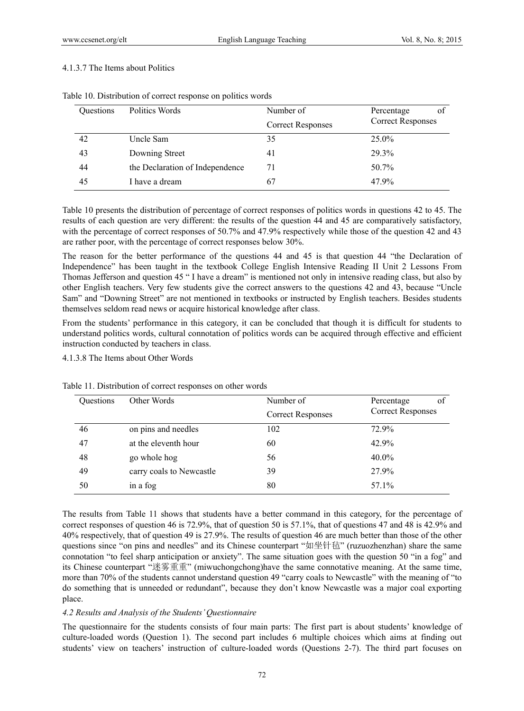## 4.1.3.7 The Items about Politics

| Questions | Politics Words                  | Number of                | of<br>Percentage         |
|-----------|---------------------------------|--------------------------|--------------------------|
|           |                                 | <b>Correct Responses</b> | <b>Correct Responses</b> |
| 42        | Uncle Sam                       | 35                       | 25.0%                    |
| 43        | Downing Street                  | 41                       | 29.3%                    |
| 44        | the Declaration of Independence | 71                       | 50.7%                    |
| 45        | I have a dream                  | 67                       | 47.9%                    |

Table 10. Distribution of correct response on politics words

Table 10 presents the distribution of percentage of correct responses of politics words in questions 42 to 45. The results of each question are very different: the results of the question 44 and 45 are comparatively satisfactory, with the percentage of correct responses of 50.7% and 47.9% respectively while those of the question 42 and 43 are rather poor, with the percentage of correct responses below 30%.

The reason for the better performance of the questions 44 and 45 is that question 44 "the Declaration of Independence" has been taught in the textbook College English Intensive Reading II Unit 2 Lessons From Thomas Jefferson and question 45 " I have a dream" is mentioned not only in intensive reading class, but also by other English teachers. Very few students give the correct answers to the questions 42 and 43, because "Uncle Sam" and "Downing Street" are not mentioned in textbooks or instructed by English teachers. Besides students themselves seldom read news or acquire historical knowledge after class.

From the students' performance in this category, it can be concluded that though it is difficult for students to understand politics words, cultural connotation of politics words can be acquired through effective and efficient instruction conducted by teachers in class.

4.1.3.8 The Items about Other Words

## Table 11. Distribution of correct responses on other words

| <b>Ouestions</b> | Other Words              | Number of                | Percentage<br><sub>of</sub> |
|------------------|--------------------------|--------------------------|-----------------------------|
|                  |                          | <b>Correct Responses</b> | <b>Correct Responses</b>    |
| 46               | on pins and needles      | 102                      | 72.9%                       |
| 47               | at the eleventh hour     | 60                       | 42.9%                       |
| 48               | go whole hog             | 56                       | $40.0\%$                    |
| 49               | carry coals to Newcastle | 39                       | 27.9%                       |
| 50               | in a fog                 | 80                       | 57.1%                       |

The results from Table 11 shows that students have a better command in this category, for the percentage of correct responses of question 46 is 72.9%, that of question 50 is 57.1%, that of questions 47 and 48 is 42.9% and 40% respectively, that of question 49 is 27.9%. The results of question 46 are much better than those of the other questions since "on pins and needles" and its Chinese counterpart "如坐针毡" (ruzuozhenzhan) share the same connotation "to feel sharp anticipation or anxiety". The same situation goes with the question 50 "in a fog" and its Chinese counterpart "迷雾重重" (miwuchongchong)have the same connotative meaning. At the same time, more than 70% of the students cannot understand question 49 "carry coals to Newcastle" with the meaning of "to do something that is unneeded or redundant", because they don't know Newcastle was a major coal exporting place.

#### *4.2 Results and Analysis of the Students' Questionnaire*

The questionnaire for the students consists of four main parts: The first part is about students' knowledge of culture-loaded words (Question 1). The second part includes 6 multiple choices which aims at finding out students' view on teachers' instruction of culture-loaded words (Questions 2-7). The third part focuses on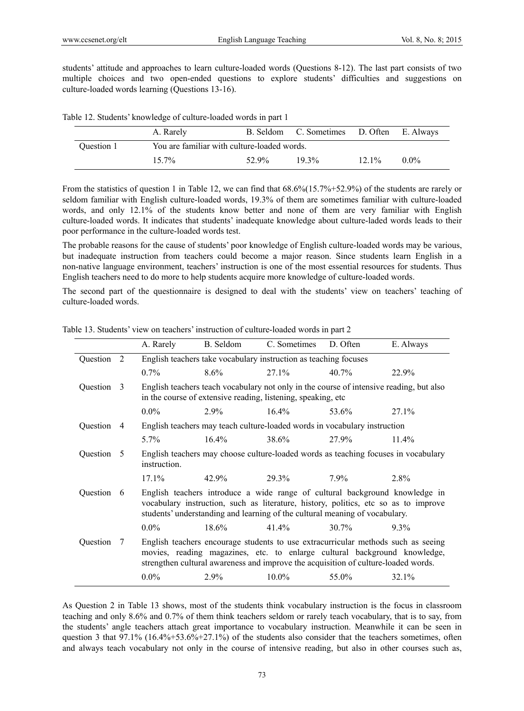students' attitude and approaches to learn culture-loaded words (Questions 8-12). The last part consists of two multiple choices and two open-ended questions to explore students' difficulties and suggestions on culture-loaded words learning (Questions 13-16).

|  |  | Table 12. Students' knowledge of culture-loaded words in part 1 |  |
|--|--|-----------------------------------------------------------------|--|
|  |  |                                                                 |  |

|            | A. Rarely |       | B. Seldom C. Sometimes D. Often E. Always |  |         |
|------------|-----------|-------|-------------------------------------------|--|---------|
| Question 1 |           |       |                                           |  |         |
|            | $15.7\%$  | 52.9% |                                           |  | $0.0\%$ |

From the statistics of question 1 in Table 12, we can find that  $68.6\%/15.7\% + 52.9\%)$  of the students are rarely or seldom familiar with English culture-loaded words, 19.3% of them are sometimes familiar with culture-loaded words, and only 12.1% of the students know better and none of them are very familiar with English culture-loaded words. It indicates that students' inadequate knowledge about culture-laded words leads to their poor performance in the culture-loaded words test.

The probable reasons for the cause of students' poor knowledge of English culture-loaded words may be various, but inadequate instruction from teachers could become a major reason. Since students learn English in a non-native language environment, teachers' instruction is one of the most essential resources for students. Thus English teachers need to do more to help students acquire more knowledge of culture-loaded words.

The second part of the questionnaire is designed to deal with the students' view on teachers' teaching of culture-loaded words.

|            |   | A. Rarely                                                                                                                                                                                                                                            | B. Seldom | C. Sometimes | D. Often                                                                  | E. Always |  |
|------------|---|------------------------------------------------------------------------------------------------------------------------------------------------------------------------------------------------------------------------------------------------------|-----------|--------------|---------------------------------------------------------------------------|-----------|--|
| Question   | 2 | English teachers take vocabulary instruction as teaching focuses                                                                                                                                                                                     |           |              |                                                                           |           |  |
|            |   | $0.7\%$                                                                                                                                                                                                                                              | 8.6%      | $27.1\%$     | $40.7\%$                                                                  | 22.9%     |  |
| Question 3 |   | English teachers teach vocabulary not only in the course of intensive reading, but also<br>in the course of extensive reading, listening, speaking, etc.                                                                                             |           |              |                                                                           |           |  |
|            |   | $0.0\%$                                                                                                                                                                                                                                              | $2.9\%$   | $16.4\%$     | 53.6%                                                                     | 27.1%     |  |
| Question   | 4 |                                                                                                                                                                                                                                                      |           |              | English teachers may teach culture-loaded words in vocabulary instruction |           |  |
|            |   | $5.7\%$                                                                                                                                                                                                                                              | 16.4%     | 38.6%        | 27.9%                                                                     | $11.4\%$  |  |
| Question 5 |   | English teachers may choose culture-loaded words as teaching focuses in vocabulary<br>instruction.                                                                                                                                                   |           |              |                                                                           |           |  |
|            |   | $17.1\%$                                                                                                                                                                                                                                             | 42.9%     | 29.3%        | $7.9\%$                                                                   | $2.8\%$   |  |
| Question   | 6 | English teachers introduce a wide range of cultural background knowledge in<br>vocabulary instruction, such as literature, history, politics, etc so as to improve<br>students' understanding and learning of the cultural meaning of vocabulary.    |           |              |                                                                           |           |  |
|            |   | $0.0\%$                                                                                                                                                                                                                                              | 18.6%     | 41 $4\%$     | $30.7\%$                                                                  | $9.3\%$   |  |
| Question   | 7 | English teachers encourage students to use extracurricular methods such as seeing<br>movies, reading magazines, etc. to enlarge cultural background knowledge,<br>strengthen cultural awareness and improve the acquisition of culture-loaded words. |           |              |                                                                           |           |  |
|            |   | $0.0\%$                                                                                                                                                                                                                                              | 2.9%      | $10.0\%$     | 55.0%                                                                     | 32.1%     |  |

Table 13. Students' view on teachers' instruction of culture-loaded words in part 2

As Question 2 in Table 13 shows, most of the students think vocabulary instruction is the focus in classroom teaching and only 8.6% and 0.7% of them think teachers seldom or rarely teach vocabulary, that is to say, from the students' angle teachers attach great importance to vocabulary instruction. Meanwhile it can be seen in question 3 that  $97.1\%$  (16.4%+53.6%+27.1%) of the students also consider that the teachers sometimes, often and always teach vocabulary not only in the course of intensive reading, but also in other courses such as,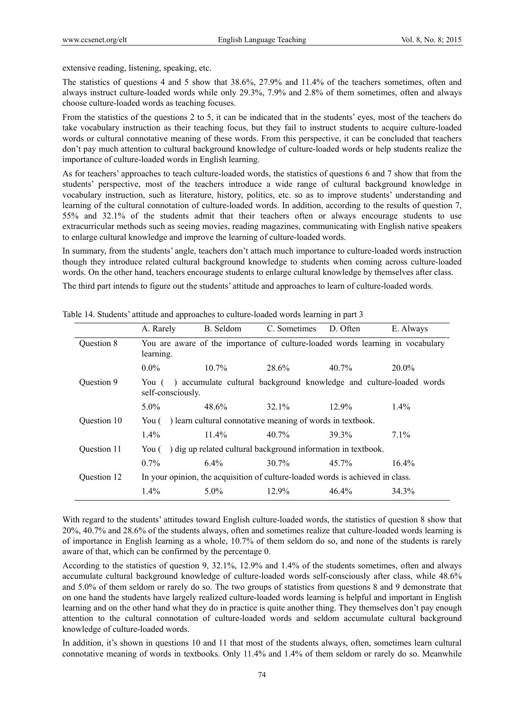extensive reading, listening, speaking, etc.

The statistics of questions 4 and 5 show that 38.6%, 27.9% and 11.4% of the teachers sometimes, often and always instruct culture-loaded words while only 29.3%, 7.9% and 2.8% of them sometimes, often and always choose culture-loaded words as teaching focuses.

From the statistics of the questions 2 to 5, it can be indicated that in the students' eyes, most of the teachers do take vocabulary instruction as their teaching focus, but they fail to instruct students to acquire culture-loaded words or cultural connotative meaning of these words. From this perspective, it can be concluded that teachers don't pay much attention to cultural background knowledge of culture-loaded words or help students realize the importance of culture-loaded words in English learning.

As for teachers' approaches to teach culture-loaded words, the statistics of questions 6 and 7 show that from the students' perspective, most of the teachers introduce a wide range of cultural background knowledge in vocabulary instruction, such as literature, history, politics, etc. so as to improve students' understanding and learning of the cultural connotation of culture-loaded words. In addition, according to the results of question 7, 55% and 32.1% of the students admit that their teachers often or always encourage students to use extracurricular methods such as seeing movies, reading magazines, communicating with English native speakers to enlarge cultural knowledge and improve the learning of culture-loaded words.

In summary, from the students' angle, teachers don't attach much importance to culture-loaded words instruction though they introduce related cultural background knowledge to students when coming across culture-loaded words. On the other hand, teachers encourage students to enlarge cultural knowledge by themselves after class.

The third part intends to figure out the students' attitude and approaches to learn of culture-loaded words.

|                                                                                               | A. Rarely                                                                                   | B. Seldom | C. Sometimes                                                             | D. Often | E. Always |  |
|-----------------------------------------------------------------------------------------------|---------------------------------------------------------------------------------------------|-----------|--------------------------------------------------------------------------|----------|-----------|--|
| Question 8                                                                                    | You are aware of the importance of culture-loaded words learning in vocabulary<br>learning. |           |                                                                          |          |           |  |
|                                                                                               | $0.0\%$                                                                                     | $10.7\%$  | 28.6%                                                                    | 40.7%    | 20.0%     |  |
| Question 9                                                                                    | self-consciously.                                                                           |           | You () accumulate cultural background knowledge and culture-loaded words |          |           |  |
|                                                                                               | $5.0\%$                                                                                     | $48.6\%$  | 32.1%                                                                    | $12.9\%$ | $1.4\%$   |  |
| Ouestion 10                                                                                   | You () learn cultural connotative meaning of words in textbook.                             |           |                                                                          |          |           |  |
|                                                                                               | $1.4\%$                                                                                     | $11.4\%$  | 40.7%                                                                    | 39.3%    | $7.1\%$   |  |
| Question 11                                                                                   |                                                                                             |           |                                                                          |          |           |  |
|                                                                                               | $0.7\%$                                                                                     | $6.4\%$   | 30.7%                                                                    | $45.7\%$ | $16.4\%$  |  |
| In your opinion, the acquisition of culture-loaded words is achieved in class.<br>Question 12 |                                                                                             |           |                                                                          |          |           |  |
|                                                                                               | $1.4\%$                                                                                     | $5.0\%$   | $12.9\%$                                                                 | $46.4\%$ | 34.3%     |  |

Table 14. Students' attitude and approaches to culture-loaded words learning in part 3

With regard to the students' attitudes toward English culture-loaded words, the statistics of question 8 show that 20%, 40.7% and 28.6% of the students always, often and sometimes realize that culture-loaded words learning is of importance in English learning as a whole, 10.7% of them seldom do so, and none of the students is rarely aware of that, which can be confirmed by the percentage 0.

According to the statistics of question 9, 32.1%, 12.9% and 1.4% of the students sometimes, often and always accumulate cultural background knowledge of culture-loaded words self-consciously after class, while 48.6% and 5.0% of them seldom or rarely do so. The two groups of statistics from questions 8 and 9 demonstrate that on one hand the students have largely realized culture-loaded words learning is helpful and important in English learning and on the other hand what they do in practice is quite another thing. They themselves don't pay enough attention to the cultural connotation of culture-loaded words and seldom accumulate cultural background knowledge of culture-loaded words.

In addition, it's shown in questions 10 and 11 that most of the students always, often, sometimes learn cultural connotative meaning of words in textbooks. Only 11.4% and 1.4% of them seldom or rarely do so. Meanwhile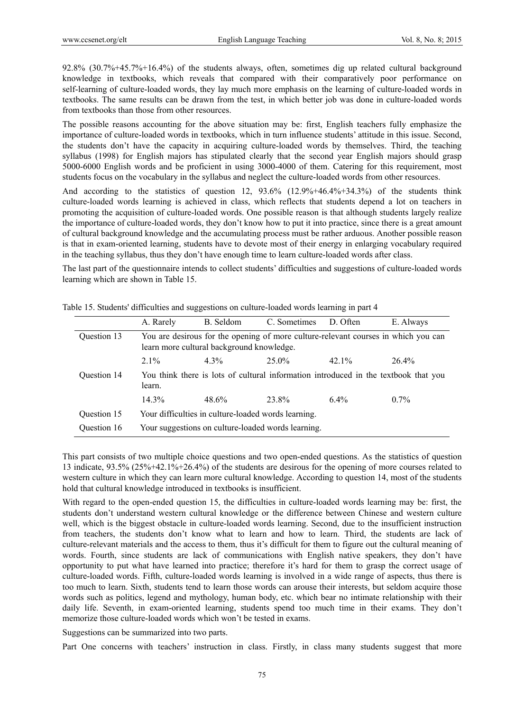92.8% (30.7%+45.7%+16.4%) of the students always, often, sometimes dig up related cultural background knowledge in textbooks, which reveals that compared with their comparatively poor performance on self-learning of culture-loaded words, they lay much more emphasis on the learning of culture-loaded words in textbooks. The same results can be drawn from the test, in which better job was done in culture-loaded words from textbooks than those from other resources.

The possible reasons accounting for the above situation may be: first, English teachers fully emphasize the importance of culture-loaded words in textbooks, which in turn influence students' attitude in this issue. Second, the students don't have the capacity in acquiring culture-loaded words by themselves. Third, the teaching syllabus (1998) for English majors has stipulated clearly that the second year English majors should grasp 5000-6000 English words and be proficient in using 3000-4000 of them. Catering for this requirement, most students focus on the vocabulary in the syllabus and neglect the culture-loaded words from other resources.

And according to the statistics of question 12,  $93.6\%$   $(12.9\% + 46.4\% + 34.3\%)$  of the students think culture-loaded words learning is achieved in class, which reflects that students depend a lot on teachers in promoting the acquisition of culture-loaded words. One possible reason is that although students largely realize the importance of culture-loaded words, they don't know how to put it into practice, since there is a great amount of cultural background knowledge and the accumulating process must be rather arduous. Another possible reason is that in exam-oriented learning, students have to devote most of their energy in enlarging vocabulary required in the teaching syllabus, thus they don't have enough time to learn culture-loaded words after class.

The last part of the questionnaire intends to collect students' difficulties and suggestions of culture-loaded words learning which are shown in Table 15.

|             | A. Rarely                                                                                                                       | B. Seldom | C. Sometimes | D. Often | E. Always |  |  |
|-------------|---------------------------------------------------------------------------------------------------------------------------------|-----------|--------------|----------|-----------|--|--|
| Question 13 | You are desirous for the opening of more culture-relevant courses in which you can<br>learn more cultural background knowledge. |           |              |          |           |  |  |
|             | $2.1\%$                                                                                                                         | $4.3\%$   | $25.0\%$     | 42 $1\%$ | $26.4\%$  |  |  |
| Ouestion 14 | You think there is lots of cultural information introduced in the textbook that you<br>learn.                                   |           |              |          |           |  |  |
|             | $14.3\%$                                                                                                                        | 48.6%     | 23.8%        | 64%      | $0.7\%$   |  |  |
| Question 15 | Your difficulties in culture-loaded words learning.                                                                             |           |              |          |           |  |  |
| Ouestion 16 | Your suggestions on culture-loaded words learning.                                                                              |           |              |          |           |  |  |

Table 15. Students' difficulties and suggestions on culture-loaded words learning in part 4

This part consists of two multiple choice questions and two open-ended questions. As the statistics of question 13 indicate, 93.5% (25%+42.1%+26.4%) of the students are desirous for the opening of more courses related to western culture in which they can learn more cultural knowledge. According to question 14, most of the students hold that cultural knowledge introduced in textbooks is insufficient.

With regard to the open-ended question 15, the difficulties in culture-loaded words learning may be: first, the students don't understand western cultural knowledge or the difference between Chinese and western culture well, which is the biggest obstacle in culture-loaded words learning. Second, due to the insufficient instruction from teachers, the students don't know what to learn and how to learn. Third, the students are lack of culture-relevant materials and the access to them, thus it's difficult for them to figure out the cultural meaning of words. Fourth, since students are lack of communications with English native speakers, they don't have opportunity to put what have learned into practice; therefore it's hard for them to grasp the correct usage of culture-loaded words. Fifth, culture-loaded words learning is involved in a wide range of aspects, thus there is too much to learn. Sixth, students tend to learn those words can arouse their interests, but seldom acquire those words such as politics, legend and mythology, human body, etc. which bear no intimate relationship with their daily life. Seventh, in exam-oriented learning, students spend too much time in their exams. They don't memorize those culture-loaded words which won't be tested in exams.

Suggestions can be summarized into two parts.

Part One concerns with teachers' instruction in class. Firstly, in class many students suggest that more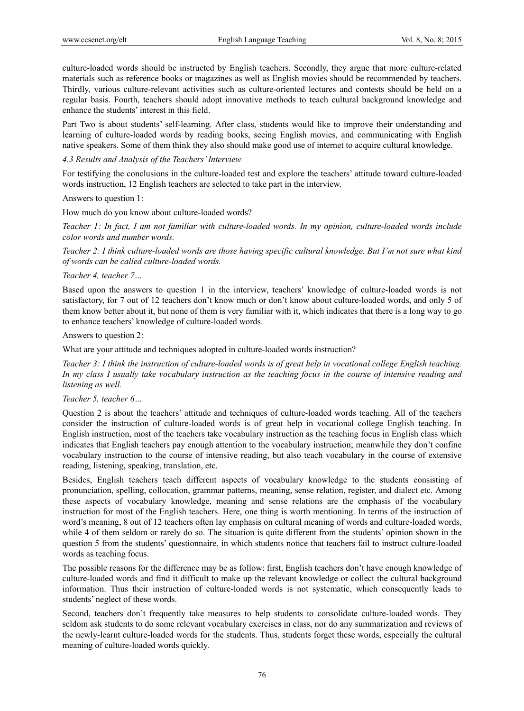culture-loaded words should be instructed by English teachers. Secondly, they argue that more culture-related materials such as reference books or magazines as well as English movies should be recommended by teachers. Thirdly, various culture-relevant activities such as culture-oriented lectures and contests should be held on a regular basis. Fourth, teachers should adopt innovative methods to teach cultural background knowledge and enhance the students' interest in this field.

Part Two is about students' self-learning. After class, students would like to improve their understanding and learning of culture-loaded words by reading books, seeing English movies, and communicating with English native speakers. Some of them think they also should make good use of internet to acquire cultural knowledge.

*4.3 Results and Analysis of the Teachers' Interview* 

For testifying the conclusions in the culture-loaded test and explore the teachers' attitude toward culture-loaded words instruction, 12 English teachers are selected to take part in the interview.

Answers to question 1:

How much do you know about culture-loaded words?

*Teacher 1: In fact, I am not familiar with culture-loaded words. In my opinion, culture-loaded words include color words and number words.* 

*Teacher 2: I think culture-loaded words are those having specific cultural knowledge. But I'm not sure what kind of words can be called culture-loaded words.* 

## *Teacher 4, teacher 7…*

Based upon the answers to question 1 in the interview, teachers' knowledge of culture-loaded words is not satisfactory, for 7 out of 12 teachers don't know much or don't know about culture-loaded words, and only 5 of them know better about it, but none of them is very familiar with it, which indicates that there is a long way to go to enhance teachers' knowledge of culture-loaded words.

Answers to question 2:

What are your attitude and techniques adopted in culture-loaded words instruction?

*Teacher 3: I think the instruction of culture-loaded words is of great help in vocational college English teaching. In my class I usually take vocabulary instruction as the teaching focus in the course of intensive reading and listening as well.* 

*Teacher 5, teacher 6…* 

Question 2 is about the teachers' attitude and techniques of culture-loaded words teaching. All of the teachers consider the instruction of culture-loaded words is of great help in vocational college English teaching. In English instruction, most of the teachers take vocabulary instruction as the teaching focus in English class which indicates that English teachers pay enough attention to the vocabulary instruction; meanwhile they don't confine vocabulary instruction to the course of intensive reading, but also teach vocabulary in the course of extensive reading, listening, speaking, translation, etc.

Besides, English teachers teach different aspects of vocabulary knowledge to the students consisting of pronunciation, spelling, collocation, grammar patterns, meaning, sense relation, register, and dialect etc. Among these aspects of vocabulary knowledge, meaning and sense relations are the emphasis of the vocabulary instruction for most of the English teachers. Here, one thing is worth mentioning. In terms of the instruction of word's meaning, 8 out of 12 teachers often lay emphasis on cultural meaning of words and culture-loaded words, while 4 of them seldom or rarely do so. The situation is quite different from the students' opinion shown in the question 5 from the students' questionnaire, in which students notice that teachers fail to instruct culture-loaded words as teaching focus.

The possible reasons for the difference may be as follow: first, English teachers don't have enough knowledge of culture-loaded words and find it difficult to make up the relevant knowledge or collect the cultural background information. Thus their instruction of culture-loaded words is not systematic, which consequently leads to students' neglect of these words.

Second, teachers don't frequently take measures to help students to consolidate culture-loaded words. They seldom ask students to do some relevant vocabulary exercises in class, nor do any summarization and reviews of the newly-learnt culture-loaded words for the students. Thus, students forget these words, especially the cultural meaning of culture-loaded words quickly.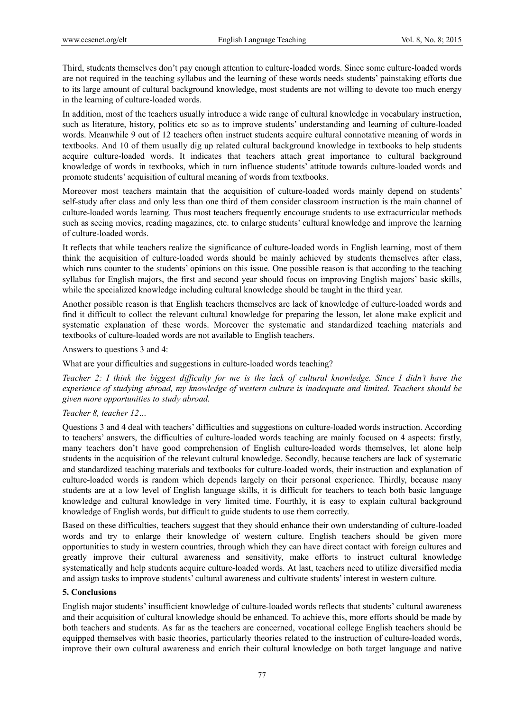Third, students themselves don't pay enough attention to culture-loaded words. Since some culture-loaded words are not required in the teaching syllabus and the learning of these words needs students' painstaking efforts due to its large amount of cultural background knowledge, most students are not willing to devote too much energy in the learning of culture-loaded words.

In addition, most of the teachers usually introduce a wide range of cultural knowledge in vocabulary instruction, such as literature, history, politics etc so as to improve students' understanding and learning of culture-loaded words. Meanwhile 9 out of 12 teachers often instruct students acquire cultural connotative meaning of words in textbooks. And 10 of them usually dig up related cultural background knowledge in textbooks to help students acquire culture-loaded words. It indicates that teachers attach great importance to cultural background knowledge of words in textbooks, which in turn influence students' attitude towards culture-loaded words and promote students' acquisition of cultural meaning of words from textbooks.

Moreover most teachers maintain that the acquisition of culture-loaded words mainly depend on students' self-study after class and only less than one third of them consider classroom instruction is the main channel of culture-loaded words learning. Thus most teachers frequently encourage students to use extracurricular methods such as seeing movies, reading magazines, etc. to enlarge students' cultural knowledge and improve the learning of culture-loaded words.

It reflects that while teachers realize the significance of culture-loaded words in English learning, most of them think the acquisition of culture-loaded words should be mainly achieved by students themselves after class, which runs counter to the students' opinions on this issue. One possible reason is that according to the teaching syllabus for English majors, the first and second year should focus on improving English majors' basic skills, while the specialized knowledge including cultural knowledge should be taught in the third year.

Another possible reason is that English teachers themselves are lack of knowledge of culture-loaded words and find it difficult to collect the relevant cultural knowledge for preparing the lesson, let alone make explicit and systematic explanation of these words. Moreover the systematic and standardized teaching materials and textbooks of culture-loaded words are not available to English teachers.

Answers to questions 3 and 4:

What are your difficulties and suggestions in culture-loaded words teaching?

*Teacher 2: I think the biggest difficulty for me is the lack of cultural knowledge. Since I didn't have the experience of studying abroad, my knowledge of western culture is inadequate and limited. Teachers should be given more opportunities to study abroad.* 

# *Teacher 8, teacher 12…*

Questions 3 and 4 deal with teachers' difficulties and suggestions on culture-loaded words instruction. According to teachers' answers, the difficulties of culture-loaded words teaching are mainly focused on 4 aspects: firstly, many teachers don't have good comprehension of English culture-loaded words themselves, let alone help students in the acquisition of the relevant cultural knowledge. Secondly, because teachers are lack of systematic and standardized teaching materials and textbooks for culture-loaded words, their instruction and explanation of culture-loaded words is random which depends largely on their personal experience. Thirdly, because many students are at a low level of English language skills, it is difficult for teachers to teach both basic language knowledge and cultural knowledge in very limited time. Fourthly, it is easy to explain cultural background knowledge of English words, but difficult to guide students to use them correctly.

Based on these difficulties, teachers suggest that they should enhance their own understanding of culture-loaded words and try to enlarge their knowledge of western culture. English teachers should be given more opportunities to study in western countries, through which they can have direct contact with foreign cultures and greatly improve their cultural awareness and sensitivity, make efforts to instruct cultural knowledge systematically and help students acquire culture-loaded words. At last, teachers need to utilize diversified media and assign tasks to improve students' cultural awareness and cultivate students' interest in western culture.

# **5. Conclusions**

English major students' insufficient knowledge of culture-loaded words reflects that students' cultural awareness and their acquisition of cultural knowledge should be enhanced. To achieve this, more efforts should be made by both teachers and students. As far as the teachers are concerned, vocational college English teachers should be equipped themselves with basic theories, particularly theories related to the instruction of culture-loaded words, improve their own cultural awareness and enrich their cultural knowledge on both target language and native